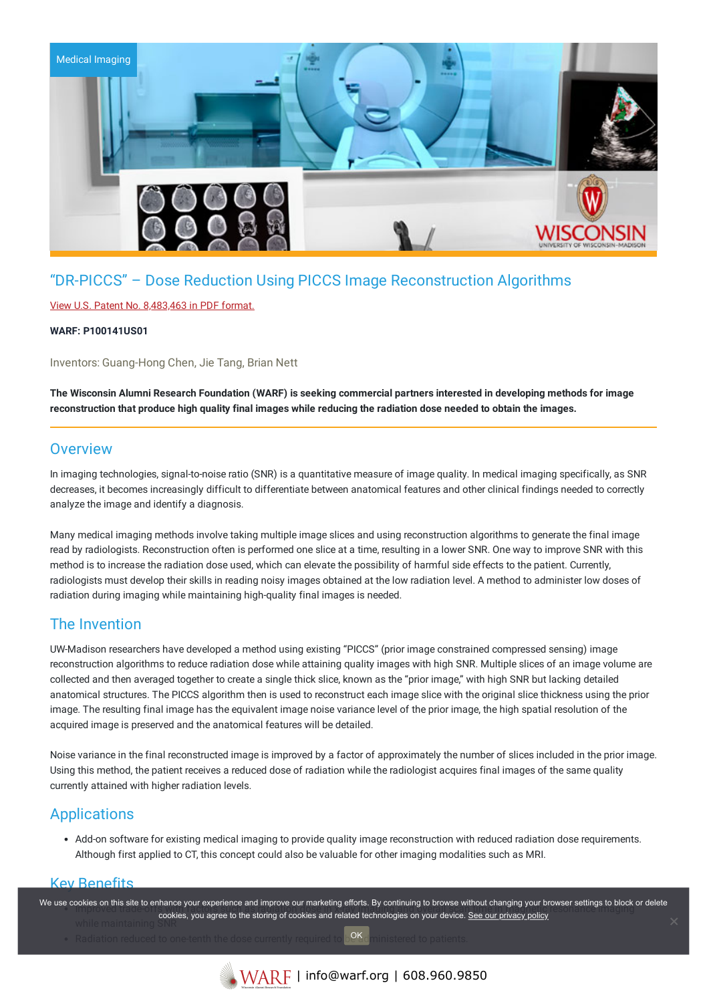

# "DR-PICCS" – Dose Reduction Using PICCS Image Reconstruction Algorithms

### View U.S. Patent No. [8,483,463](https://www.warf.org/wp-content/uploads/technologies/ipstatus/P100141US01.PDF) in PDF format.

#### **WARF: P100141US01**

Inventors: Guang-Hong Chen, Jie Tang, Brian Nett

The Wisconsin Alumni Research Foundation (WARF) is seeking commercial partners interested in developing methods for image reconstruction that produce high quality final images while reducing the radiation dose needed to obtain the images.

# **Overview**

In imaging technologies, signal-to-noise ratio (SNR) is a quantitative measure of image quality. In medical imaging specifically, as SNR decreases, it becomes increasingly difficult to differentiate between anatomical features and other clinical findings needed to correctly analyze the image and identify a diagnosis.

Many medical imaging methods involve taking multiple image slices and using reconstruction algorithms to generate the final image read by radiologists. Reconstruction often is performed one slice at a time, resulting in a lower SNR. One way to improve SNR with this method is to increase the radiation dose used, which can elevate the possibility of harmful side effects to the patient. Currently, radiologists must develop their skills in reading noisy images obtained at the low radiation level. A method to administer low doses of radiation during imaging while maintaining high-quality final images is needed.

# The Invention

UW-Madison researchers have developed a method using existing "PICCS" (prior image constrained compressed sensing) image reconstruction algorithms to reduce radiation dose while attaining quality images with high SNR. Multiple slices of an image volume are collected and then averaged together to create a single thick slice, known as the "prior image," with high SNR but lacking detailed anatomical structures. The PICCS algorithm then is used to reconstruct each image slice with the original slice thickness using the prior image. The resulting final image has the equivalent image noise variance level of the prior image, the high spatial resolution of the acquired image is preserved and the anatomical features will be detailed.

Noise variance in the final reconstructed image is improved by a factor of approximately the number of slices included in the prior image. Using this method, the patient receives a reduced dose of radiation while the radiologist acquires final images of the same quality currently attained with higher radiation levels.

# **Applications**

Add-on software for existing medical imaging to provide quality image reconstruction with reduced radiation dose requirements. Although first applied to CT, this concept could also be valuable for other imaging modalities such as MRI.

## Key Benefits

We use cookies on this site to enhance your experience and improve our marketing efforts. By continuing to browse without changing your browser settings to block or delete cookies, you agree to the storing of cookies and related technologies on your device. [See our privacy policy](https://www.warf.org/privacy-policy/)

Radiation reduced to one-tenth the dose currently required to be a ministered to patients. OK